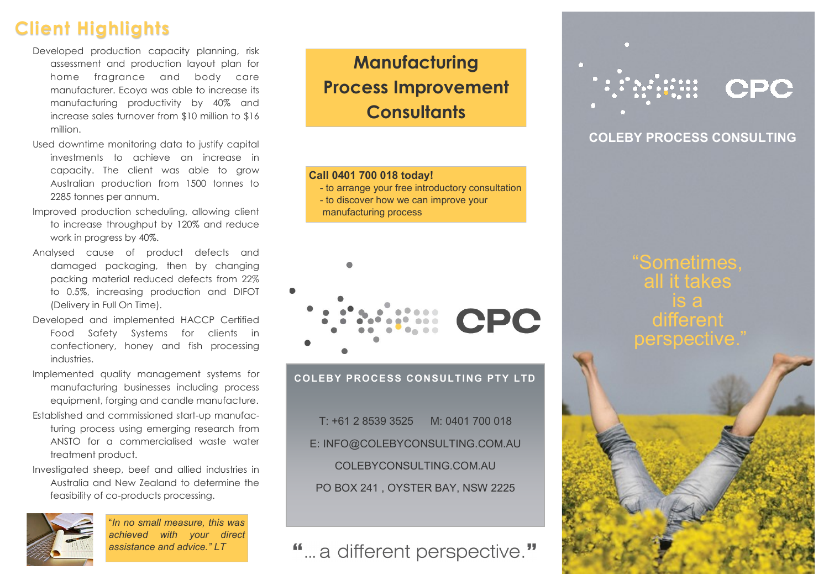## **Client Highlights**

- Developed production capacity planning, risk assessment and production layout plan for home fragrance and body care manufacturer. Ecoya was able to increase its manufacturing productivity by 40% and increase sales turnover from \$10 million to \$16 million.
- Used downtime monitoring data to justify capital investments to achieve an increase in capacity. The client was able to grow Australian production from 1500 tonnes to 2285 tonnes per annum.
- Improved production scheduling, allowing client to increase throughput by 120% and reduce work in progress by 40%.
- Analysed cause of product defects and damaged packaging, then by changing packing material reduced defects from 22% to 0.5%, increasing production and DIFOT (Delivery in Full On Time).
- Developed and implemented HACCP Certified Food Safety Systems for clients in confectionery, honey and fish processing industries.
- Implemented quality management systems for manufacturing businesses including process equipment, forging and candle manufacture.
- Established and commissioned start-up manufacturing process using emerging research from ANSTO for a commercialised waste water treatment product.
- Investigated sheep, beef and allied industries in Australia and New Zealand to determine the feasibility of co-products processing.



"*In no small measure, this was achieved with your direct assistance and advice." LT*

**Manufacturing Process Improvement Consultants**

#### **Call 0401 700 018 today!**

- to arrange your free introductory consultation
- to discover how we can improve your manufacturing process



**COLEBY PROCESS CONSULTING PTY LTD**

T: +61 2 8539 3525 M: 0401 700 018 E: INFO@COLEBYCONSULTING.COM.AU COLEBYCONSULTING.COM.AU PO BOX 241 , OYSTER BAY, NSW 2225

" ... a different perspective."

# CPC

#### **COLEBY PROCESS CONSULTING**

"Sometimes, all it takes different